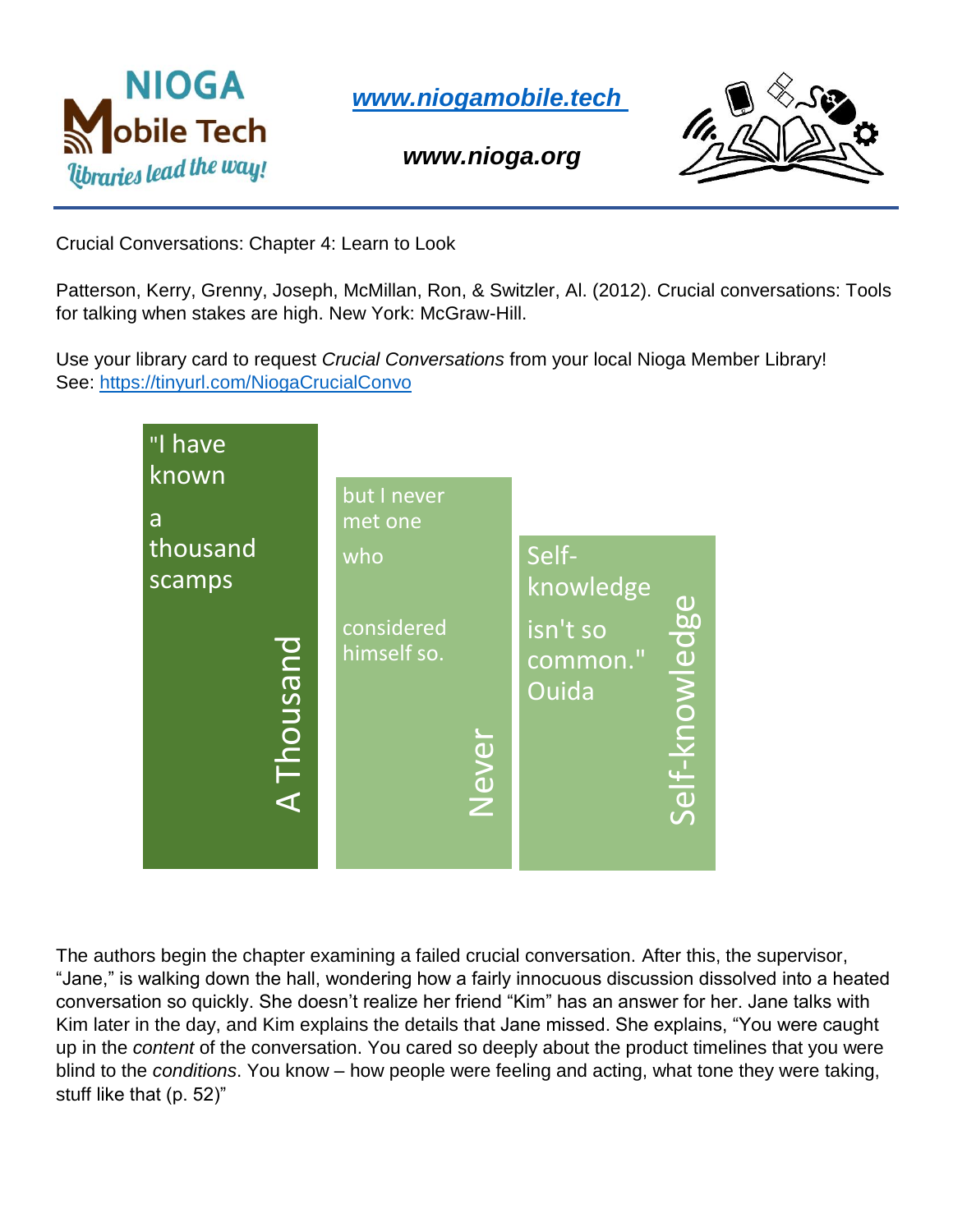

*[www.niogamobile.tech](http://www.niogamobile.tech/)*

*www.nioga.org*



Crucial Conversations: Chapter 4: Learn to Look

Patterson, Kerry, Grenny, Joseph, McMillan, Ron, & Switzler, Al. (2012). Crucial conversations: Tools for talking when stakes are high. New York: McGraw-Hill.

Use your library card to request *Crucial Conversations* from your local Nioga Member Library! See:<https://tinyurl.com/NiogaCrucialConvo>



The authors begin the chapter examining a failed crucial conversation. After this, the supervisor, "Jane," is walking down the hall, wondering how a fairly innocuous discussion dissolved into a heated conversation so quickly. She doesn't realize her friend "Kim" has an answer for her. Jane talks with Kim later in the day, and Kim explains the details that Jane missed. She explains, "You were caught up in the *content* of the conversation. You cared so deeply about the product timelines that you were blind to the *conditions*. You know – how people were feeling and acting, what tone they were taking, stuff like that (p. 52)"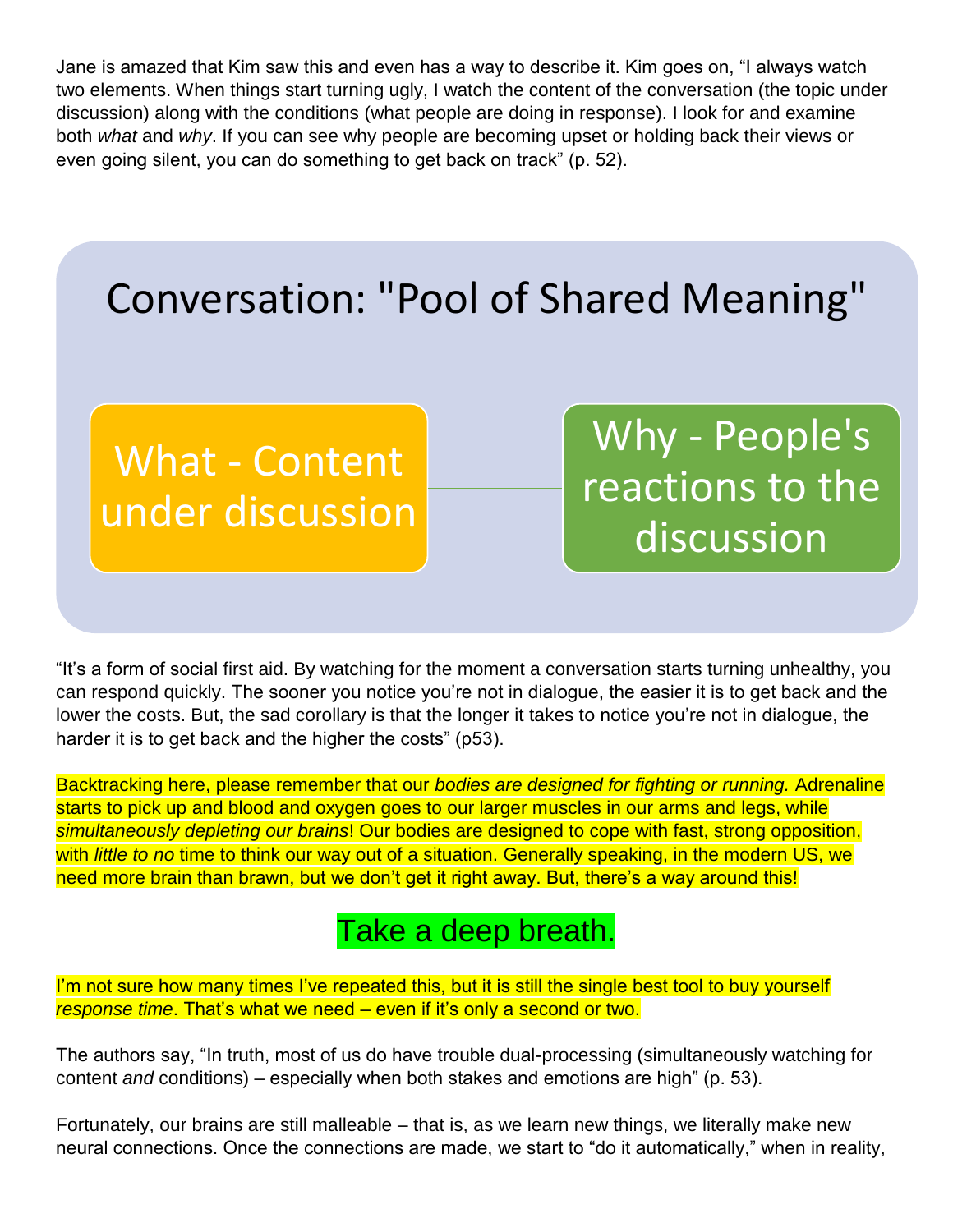Jane is amazed that Kim saw this and even has a way to describe it. Kim goes on, "I always watch two elements. When things start turning ugly, I watch the content of the conversation (the topic under discussion) along with the conditions (what people are doing in response). I look for and examine both *what* and *why*. If you can see why people are becoming upset or holding back their views or even going silent, you can do something to get back on track" (p. 52).



"It's a form of social first aid. By watching for the moment a conversation starts turning unhealthy, you can respond quickly. The sooner you notice you're not in dialogue, the easier it is to get back and the lower the costs. But, the sad corollary is that the longer it takes to notice you're not in dialogue, the harder it is to get back and the higher the costs" (p53).

Backtracking here, please remember that our *bodies are designed for fighting or running.* Adrenaline starts to pick up and blood and oxygen goes to our larger muscles in our arms and legs, while *simultaneously depleting our brains*! Our bodies are designed to cope with fast, strong opposition, with *little to no* time to think our way out of a situation. Generally speaking, in the modern US, we need more brain than brawn, but we don't get it right away. But, there's a way around this!

## Take a deep breath.

I'm not sure how many times I've repeated this, but it is still the single best tool to buy yourself *response time*. That's what we need – even if it's only a second or two.

The authors say, "In truth, most of us do have trouble dual-processing (simultaneously watching for content *and* conditions) – especially when both stakes and emotions are high" (p. 53).

Fortunately, our brains are still malleable – that is, as we learn new things, we literally make new neural connections. Once the connections are made, we start to "do it automatically," when in reality,